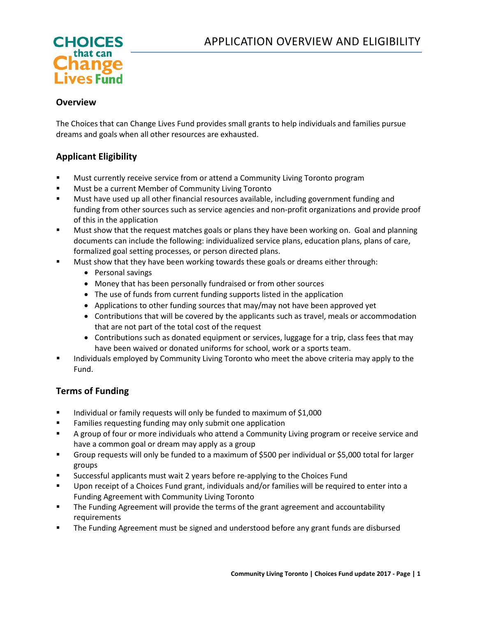

### **Overview**

The Choices that can Change Lives Fund provides small grants to help individuals and families pursue dreams and goals when all other resources are exhausted.

# **Applicant Eligibility**

- Must currently receive service from or attend a Community Living Toronto program
- **Must be a current Member of Community Living Toronto**
- **Must have used up all other financial resources available, including government funding and** funding from other sources such as service agencies and non-profit organizations and provide proof of this in the application
- **Must show that the request matches goals or plans they have been working on. Goal and planning** documents can include the following: individualized service plans, education plans, plans of care, formalized goal setting processes, or person directed plans.
- Must show that they have been working towards these goals or dreams either through:
	- Personal savings
	- Money that has been personally fundraised or from other sources
	- The use of funds from current funding supports listed in the application
	- Applications to other funding sources that may/may not have been approved yet
	- Contributions that will be covered by the applicants such as travel, meals or accommodation that are not part of the total cost of the request
	- Contributions such as donated equipment or services, luggage for a trip, class fees that may have been waived or donated uniforms for school, work or a sports team.
- **Individuals employed by Community Living Toronto who meet the above criteria may apply to the** Fund.

# **Terms of Funding**

- Individual or family requests will only be funded to maximum of \$1,000
- **Families requesting funding may only submit one application**
- A group of four or more individuals who attend a Community Living program or receive service and have a common goal or dream may apply as a group
- Group requests will only be funded to a maximum of \$500 per individual or \$5,000 total for larger groups
- Successful applicants must wait 2 years before re-applying to the Choices Fund
- Upon receipt of a Choices Fund grant, individuals and/or families will be required to enter into a Funding Agreement with Community Living Toronto
- **The Funding Agreement will provide the terms of the grant agreement and accountability** requirements
- The Funding Agreement must be signed and understood before any grant funds are disbursed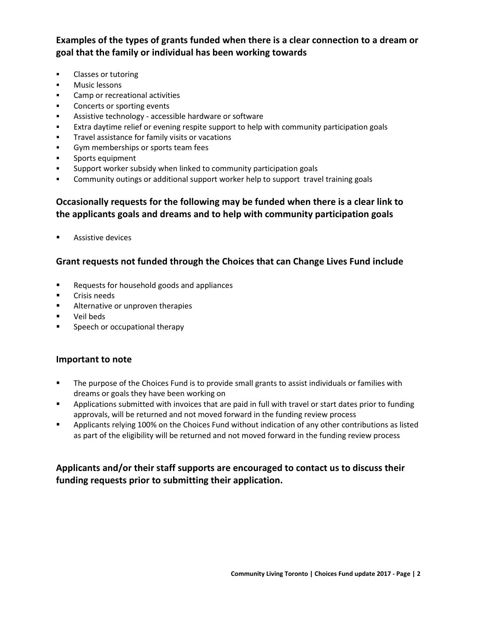**Examples of the types of grants funded when there is a clear connection to a dream or goal that the family or individual has been working towards**

- **Classes or tutoring**
- **Music lessons**
- **Camp or recreational activities**
- **Concerts or sporting events**
- Assistive technology accessible hardware or software
- Extra daytime relief or evening respite support to help with community participation goals
- **Travel assistance for family visits or vacations**
- Gym memberships or sports team fees
- Sports equipment
- Support worker subsidy when linked to community participation goals
- Community outings or additional support worker help to support travel training goals

## **Occasionally requests for the following may be funded when there is a clear link to the applicants goals and dreams and to help with community participation goals**

**Assistive devices** 

### **Grant requests not funded through the Choices that can Change Lives Fund include**

- **Requests for household goods and appliances**
- **Crisis needs**
- **EXECUTE:** Alternative or unproven therapies
- Veil beds
- **Speech or occupational therapy**

### **Important to note**

- The purpose of the Choices Fund is to provide small grants to assist individuals or families with dreams or goals they have been working on
- Applications submitted with invoices that are paid in full with travel or start dates prior to funding approvals, will be returned and not moved forward in the funding review process
- Applicants relying 100% on the Choices Fund without indication of any other contributions as listed as part of the eligibility will be returned and not moved forward in the funding review process

# **Applicants and/or their staff supports are encouraged to contact us to discuss their funding requests prior to submitting their application.**